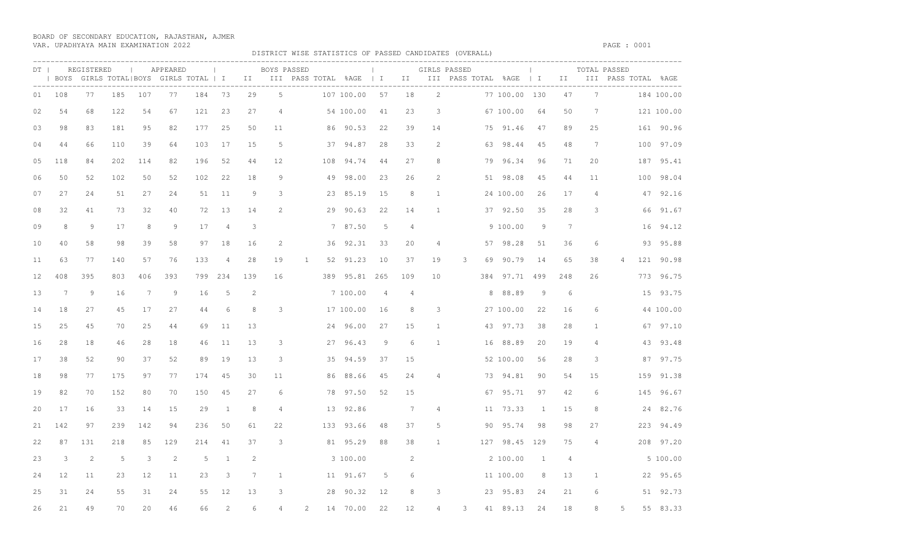BOARD OF SECONDARY EDUCATION, RAJASTHAN, AJMER VAR. UPADHYAYA MAIN EXAMINATION 2022 PAGE : 0001

DISTRICT WISE STATISTICS OF PASSED CANDIDATES (OVERALL)

|    |     | DT   REGISTERED |     | <b>Contract Contract</b> | APPEARED |     | <b>Contract Contract</b> |              | BOYS PASSED    |              |     | <b>Contract Contract</b> |                |                |                | GIRLS PASSED<br>  BOYS GIRLS TOTAL BOYS GIRLS TOTAL   I III III PASS TOTAL %AGE   I III III PASS TOTAL %AGE   I III III PASS TOTAL %AGE | the control of the con- |     |                |                | TOTAL PASSED |     |            |
|----|-----|-----------------|-----|--------------------------|----------|-----|--------------------------|--------------|----------------|--------------|-----|--------------------------|----------------|----------------|----------------|-----------------------------------------------------------------------------------------------------------------------------------------|-------------------------|-----|----------------|----------------|--------------|-----|------------|
| 01 | 108 | 77              | 185 | 107                      | 77       | 184 | 73                       | 29           | $\overline{5}$ |              |     | 107 100.00               | 57             | 18             | $2^{1}$        |                                                                                                                                         | 77 100.00 130           |     | 47             | 7              |              |     | 184 100.00 |
| 02 | 54  | 68              | 122 | 54                       | 67       | 121 | 23                       | 27           | $\overline{4}$ |              |     | 54 100.00                | 41             | 23             | 3              |                                                                                                                                         | 67 100.00               | 64  | 50             | 7              |              |     | 121 100.00 |
| 03 | 98  | 83              | 181 | 95                       | 82       | 177 | 25                       | 50           | 11             |              |     | 86 90.53                 | 22             | 39             | 14             |                                                                                                                                         | 75 91.46                | 47  | 89             | 25             |              |     | 161 90.96  |
| 04 | 44  | 66              | 110 | 39                       | 64       | 103 | 17                       | 15           | 5              |              | 37  | 94.87                    | 28             | 33             | 2              | 63                                                                                                                                      | 98.44                   | 45  | 48             | 7              |              | 100 | 97.09      |
| 05 | 118 | 84              | 202 | 114                      | 82       | 196 | 52                       | 44           | 12             |              | 108 | 94.74                    | 44             | 27             | 8              |                                                                                                                                         | 79 96.34                | 96  | 71             | 20             |              |     | 187 95.41  |
| 06 | 50  | 52              | 102 | 50                       | 52       | 102 | 22                       | 18           | 9              |              | 49  | 98.00                    | 23             | 26             | $\mathcal{L}$  |                                                                                                                                         | 51 98.08                | 45  | 44             | 11             |              |     | 100 98.04  |
| 07 | 27  | 24              | 51  | 27                       | 24       | 51  | 11                       | 9            | 3              |              | 23  | 85.19                    | 15             | 8              | $\mathbf{1}$   |                                                                                                                                         | 24 100.00               | 26  | 17             | $\overline{4}$ |              | 47  | 92.16      |
| 08 | 32  | 41              | 73  | 32                       | 40       | 72  | 13                       | 14           | $\mathcal{L}$  |              | 29  | 90.63                    | 22             | 14             | $\mathbf{1}$   |                                                                                                                                         | 37 92.50                | 35  | 28             | 3              |              |     | 66 91.67   |
| 09 | 8   | 9               | 17  | 8                        | 9        | 17  | $\overline{4}$           | $\mathbf{3}$ |                |              |     | 7 87.50                  | 5              | $\overline{4}$ |                |                                                                                                                                         | 9 100.00                | 9   | 7              |                |              | 16  | 94.12      |
| 10 | 40  | 58              | 98  | 39                       | 58       | 97  | 18                       | 16           | 2              |              | 36  | 92.31                    | 33             | 20             | $\overline{4}$ |                                                                                                                                         | 57 98.28                | 51  | 36             | 6              |              |     | 93 95.88   |
| 11 | 63  | 77              | 140 | 57                       | 76       | 133 | $\overline{4}$           | 28           | 19             | $\mathbf{1}$ | 52  | 91.23                    | 10             | 37             | 19             | 3<br>69                                                                                                                                 | 90.79                   | 14  | 65             | 38             |              |     | 121 90.98  |
| 12 | 408 | 395             | 803 | 406                      | 393      | 799 | 234                      | 139          | 16             |              | 389 | 95.81                    | 265            | 109            | 10             | 384                                                                                                                                     | 97.71                   | 499 | 248            | 26             |              | 773 | 96.75      |
| 13 | 7   | 9               | 16  | -7                       | 9        | 16  | 5                        | 2            |                |              |     | 7 100.00                 | $\overline{4}$ | $\overline{4}$ |                | 8                                                                                                                                       | 88.89                   | 9   | 6              |                |              |     | 15 93.75   |
| 14 | 18  | 27              | 45  | 17                       | 27       | 44  | 6                        | 8            | 3              |              |     | 17 100.00                | 16             | 8              | 3              |                                                                                                                                         | 27 100.00               | 22  | 16             | 6              |              |     | 44 100.00  |
| 15 | 25  | 45              | 70  | 25                       | 44       | 69  | 11                       | 13           |                |              | 24  | 96.00                    | 27             | 15             | $\mathbf{1}$   | 43                                                                                                                                      | 97.73                   | 38  | 28             | $\mathbf{1}$   |              |     | 67 97.10   |
| 16 | 28  | 18              | 46  | 28                       | 18       | 46  | 11                       | 13           | 3              |              |     | 27 96.43                 | 9              | 6              | $\mathbf{1}$   |                                                                                                                                         | 16 88.89                | 20  | 19             | 4              |              |     | 43 93.48   |
| 17 | 38  | 52              | 90  | 37                       | 52       | 89  | 19                       | 13           | 3              |              |     | 35 94.59                 | 37             | 15             |                |                                                                                                                                         | 52 100.00               | 56  | 28             | 3              |              |     | 87 97.75   |
| 18 | 98  | 77              | 175 | 97                       | 77       | 174 | 45                       | 30           | 11             |              |     | 86 88.66                 | 45             | 24             | $\overline{4}$ |                                                                                                                                         | 73 94.81                | 90  | 54             | 15             |              | 159 | 91.38      |
| 19 | 82  | 70              | 152 | 80                       | 70       | 150 | 45                       | 27           | 6              |              | 78  | 97.50                    | 52             | 15             |                | 67                                                                                                                                      | 95.71                   | 97  | 42             | 6              |              |     | 145 96.67  |
| 20 | 17  | 16              | 33  | 14                       | 15       | 29  | 1                        | 8            | $\overline{4}$ |              | 13  | 92.86                    |                | 7              | $\overline{4}$ |                                                                                                                                         | 11 73.33                | 1   | 15             | 8              |              |     | 24 82.76   |
| 21 | 142 | 97              | 239 | 142                      | 94       | 236 | 50                       | 61           | 22             |              |     | 133 93.66                | 48             | 37             | 5              | 90                                                                                                                                      | 95.74                   | 98  | 98             | 27             |              |     | 223 94.49  |
| 22 | 87  | 131             | 218 | 85                       | 129      | 214 | 41                       | 37           | 3              |              |     | 81 95.29                 | 88             | 38             | $\mathbf{1}$   |                                                                                                                                         | 127 98.45 129           |     | 75             | $\overline{4}$ |              |     | 208 97.20  |
| 23 | 3   | 2               | 5   | 3                        | 2        | 5   | 1                        | 2            |                |              |     | 3 100.00                 |                | 2              |                |                                                                                                                                         | 2 100.00                | 1   | $\overline{4}$ |                |              |     | 5 100.00   |
| 24 | 12  | 11              | 23  | 12                       | 11       | 23  | 3                        | 7            | $\mathbf{1}$   |              |     | 11 91.67                 | 5              | 6              |                |                                                                                                                                         | 11 100.00               | 8   | 13             | $\mathbf{1}$   |              |     | 22 95.65   |
| 25 | 31  | 24              | 55  | 31                       | 24       | 55  | 12                       | 13           | 3              |              | 28  | 90.32                    | 12             |                | 3              |                                                                                                                                         | 23 95.83                | 24  | 21             |                |              |     | 51 92.73   |
| 26 | 21  | 49              | 70  | 2.0                      | 46       | 66  | $\mathcal{L}$            | $\sqrt{2}$   |                |              |     | 14 70.00                 | 22             | 12             |                |                                                                                                                                         | 41 89.13                | 24  | 18             |                |              |     | 55 83.33   |